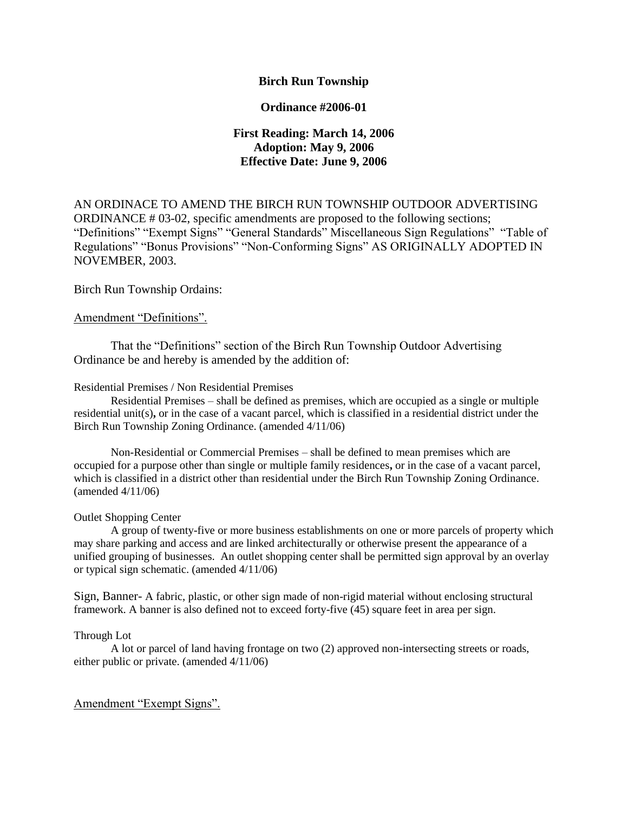### **Birch Run Township**

#### **Ordinance #2006-01**

## **First Reading: March 14, 2006 Adoption: May 9, 2006 Effective Date: June 9, 2006**

AN ORDINACE TO AMEND THE BIRCH RUN TOWNSHIP OUTDOOR ADVERTISING ORDINANCE # 03-02, specific amendments are proposed to the following sections; "Definitions" "Exempt Signs" "General Standards" Miscellaneous Sign Regulations" "Table of Regulations" "Bonus Provisions" "Non-Conforming Signs" AS ORIGINALLY ADOPTED IN NOVEMBER, 2003.

Birch Run Township Ordains:

#### Amendment "Definitions".

That the "Definitions" section of the Birch Run Township Outdoor Advertising Ordinance be and hereby is amended by the addition of:

#### Residential Premises / Non Residential Premises

Residential Premises – shall be defined as premises, which are occupied as a single or multiple residential unit(s)**,** or in the case of a vacant parcel, which is classified in a residential district under the Birch Run Township Zoning Ordinance. (amended 4/11/06)

Non-Residential or Commercial Premises – shall be defined to mean premises which are occupied for a purpose other than single or multiple family residences**,** or in the case of a vacant parcel, which is classified in a district other than residential under the Birch Run Township Zoning Ordinance. (amended 4/11/06)

#### Outlet Shopping Center

A group of twenty-five or more business establishments on one or more parcels of property which may share parking and access and are linked architecturally or otherwise present the appearance of a unified grouping of businesses. An outlet shopping center shall be permitted sign approval by an overlay or typical sign schematic. (amended 4/11/06)

Sign, Banner- A fabric, plastic, or other sign made of non-rigid material without enclosing structural framework. A banner is also defined not to exceed forty-five (45) square feet in area per sign.

#### Through Lot

A lot or parcel of land having frontage on two (2) approved non-intersecting streets or roads, either public or private. (amended 4/11/06)

#### Amendment "Exempt Signs".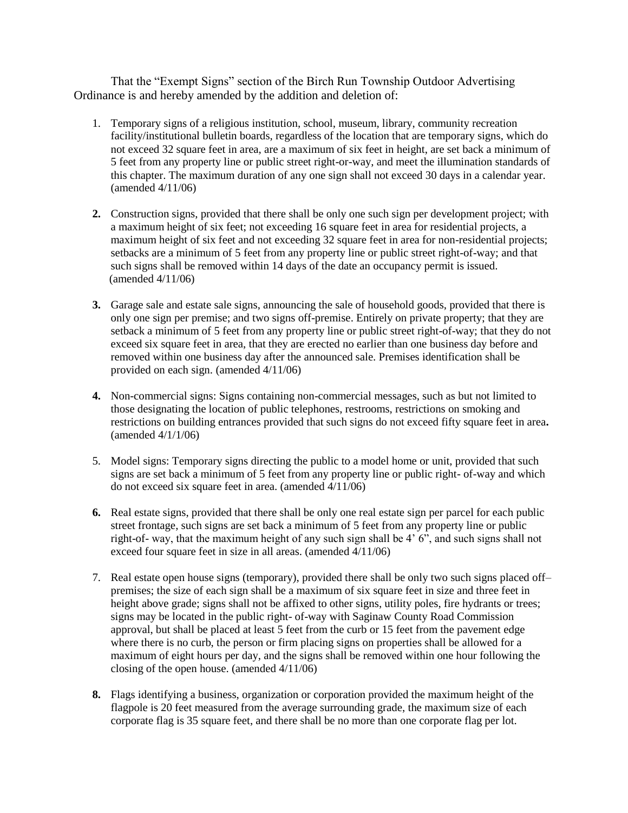That the "Exempt Signs" section of the Birch Run Township Outdoor Advertising Ordinance is and hereby amended by the addition and deletion of:

- 1. Temporary signs of a religious institution, school, museum, library, community recreation facility/institutional bulletin boards, regardless of the location that are temporary signs, which do not exceed 32 square feet in area, are a maximum of six feet in height, are set back a minimum of 5 feet from any property line or public street right-or-way, and meet the illumination standards of this chapter. The maximum duration of any one sign shall not exceed 30 days in a calendar year. (amended 4/11/06)
- **2.** Construction signs, provided that there shall be only one such sign per development project; with a maximum height of six feet; not exceeding 16 square feet in area for residential projects, a maximum height of six feet and not exceeding 32 square feet in area for non-residential projects; setbacks are a minimum of 5 feet from any property line or public street right-of-way; and that such signs shall be removed within 14 days of the date an occupancy permit is issued. (amended 4/11/06)
- **3.** Garage sale and estate sale signs, announcing the sale of household goods, provided that there is only one sign per premise; and two signs off-premise. Entirely on private property; that they are setback a minimum of 5 feet from any property line or public street right-of-way; that they do not exceed six square feet in area, that they are erected no earlier than one business day before and removed within one business day after the announced sale. Premises identification shall be provided on each sign. (amended 4/11/06)
- **4.** Non-commercial signs: Signs containing non-commercial messages, such as but not limited to those designating the location of public telephones, restrooms, restrictions on smoking and restrictions on building entrances provided that such signs do not exceed fifty square feet in area**.**  (amended 4/1/1/06)
- 5. Model signs: Temporary signs directing the public to a model home or unit, provided that such signs are set back a minimum of 5 feet from any property line or public right- of-way and which do not exceed six square feet in area. (amended  $4/11/06$ )
- **6.** Real estate signs, provided that there shall be only one real estate sign per parcel for each public street frontage, such signs are set back a minimum of 5 feet from any property line or public right-of- way, that the maximum height of any such sign shall be 4' 6", and such signs shall not exceed four square feet in size in all areas. (amended 4/11/06)
- 7. Real estate open house signs (temporary), provided there shall be only two such signs placed off– premises; the size of each sign shall be a maximum of six square feet in size and three feet in height above grade; signs shall not be affixed to other signs, utility poles, fire hydrants or trees; signs may be located in the public right- of-way with Saginaw County Road Commission approval, but shall be placed at least 5 feet from the curb or 15 feet from the pavement edge where there is no curb, the person or firm placing signs on properties shall be allowed for a maximum of eight hours per day, and the signs shall be removed within one hour following the closing of the open house. (amended 4/11/06)
- **8.** Flags identifying a business, organization or corporation provided the maximum height of the flagpole is 20 feet measured from the average surrounding grade, the maximum size of each corporate flag is 35 square feet, and there shall be no more than one corporate flag per lot.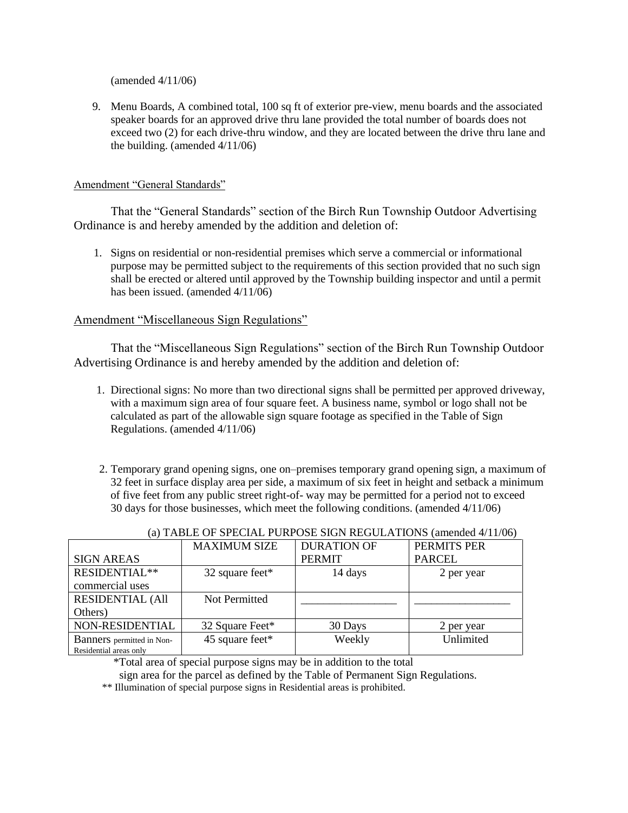(amended 4/11/06)

9. Menu Boards, A combined total, 100 sq ft of exterior pre-view, menu boards and the associated speaker boards for an approved drive thru lane provided the total number of boards does not exceed two (2) for each drive-thru window, and they are located between the drive thru lane and the building. (amended 4/11/06)

#### Amendment "General Standards"

That the "General Standards" section of the Birch Run Township Outdoor Advertising Ordinance is and hereby amended by the addition and deletion of:

 1. Signs on residential or non-residential premises which serve a commercial or informational purpose may be permitted subject to the requirements of this section provided that no such sign shall be erected or altered until approved by the Township building inspector and until a permit has been issued. (amended 4/11/06)

## Amendment "Miscellaneous Sign Regulations"

That the "Miscellaneous Sign Regulations" section of the Birch Run Township Outdoor Advertising Ordinance is and hereby amended by the addition and deletion of:

- 1.Directional signs: No more than two directional signs shall be permitted per approved driveway, with a maximum sign area of four square feet. A business name, symbol or logo shall not be calculated as part of the allowable sign square footage as specified in the Table of Sign Regulations. (amended 4/11/06)
- 2. Temporary grand opening signs, one on–premises temporary grand opening sign, a maximum of 32 feet in surface display area per side, a maximum of six feet in height and setback a minimum of five feet from any public street right-of- way may be permitted for a period not to exceed 30 days for those businesses, which meet the following conditions. (amended 4/11/06)

|                           | <b>MAXIMUM SIZE</b> | <b>DURATION OF</b> | PERMITS PER   |
|---------------------------|---------------------|--------------------|---------------|
| <b>SIGN AREAS</b>         |                     | <b>PERMIT</b>      | <b>PARCEL</b> |
| RESIDENTIAL**             | 32 square feet*     | 14 days            | 2 per year    |
| commercial uses           |                     |                    |               |
| <b>RESIDENTIAL (All</b>   | Not Permitted       |                    |               |
| Others)                   |                     |                    |               |
| NON-RESIDENTIAL           | 32 Square Feet*     | 30 Days            | 2 per year    |
| Banners permitted in Non- | 45 square feet*     | Weekly             | Unlimited     |
| Residential areas only    |                     |                    |               |

#### (a) TABLE OF SPECIAL PURPOSE SIGN REGULATIONS (amended 4/11/06)

\*Total area of special purpose signs may be in addition to the total

sign area for the parcel as defined by the Table of Permanent Sign Regulations.

\*\* Illumination of special purpose signs in Residential areas is prohibited.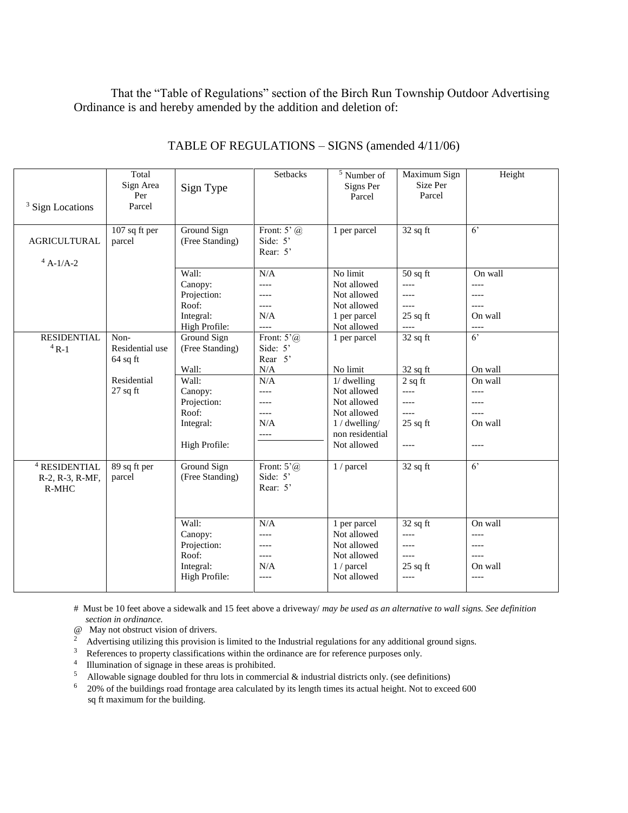That the "Table of Regulations" section of the Birch Run Township Outdoor Advertising Ordinance is and hereby amended by the addition and deletion of:

|                          | Total           |                 | Setbacks                           | $5$ Number of   | Maximum Sign         | Height         |
|--------------------------|-----------------|-----------------|------------------------------------|-----------------|----------------------|----------------|
|                          | Sign Area       | Sign Type       |                                    | Signs Per       | Size Per             |                |
|                          | Per<br>Parcel   |                 |                                    | Parcel          | Parcel               |                |
| $3$ Sign Locations       |                 |                 |                                    |                 |                      |                |
|                          |                 |                 |                                    |                 |                      |                |
| <b>AGRICULTURAL</b>      | $107$ sq ft per | Ground Sign     | Front: $5^{\circ}$ (a)<br>Side: 5' | 1 per parcel    | $32$ sq ft           | 6 <sup>2</sup> |
|                          | parcel          | (Free Standing) | Rear: 5'                           |                 |                      |                |
| $4 A-1/A-2$              |                 |                 |                                    |                 |                      |                |
|                          |                 | Wall:           | N/A                                | No limit        | $50$ sq ft           | On wall        |
|                          |                 | Canopy:         | $---$                              | Not allowed     | $---$                | $-----$        |
|                          |                 | Projection:     | $---$                              | Not allowed     | $---$                | $---$          |
|                          |                 | Roof:           | $---$                              | Not allowed     | $---$                |                |
|                          |                 | Integral:       | N/A                                | 1 per parcel    | $25$ sq ft           | On wall        |
|                          |                 | High Profile:   | $---$                              | Not allowed     | $---$                | $---$          |
| <b>RESIDENTIAL</b>       | Non-            | Ground Sign     | Front: $5^{\circ}$ (a)             | 1 per parcel    | $32$ sq ft           | $6^{\circ}$    |
| $4R-1$                   | Residential use | (Free Standing) | Side: 5'                           |                 |                      |                |
|                          | $64$ sq ft      |                 | Rear 5'                            |                 |                      |                |
|                          |                 | Wall:           | N/A                                | No limit        | $32$ sq ft           | On wall        |
|                          | Residential     | Wall:           | N/A                                | 1/dwelling      | $\overline{2}$ sq ft | On wall        |
|                          | $27$ sq ft      | Canopy:         | $---$                              | Not allowed     | $---$                | $---$          |
|                          |                 | Projection:     | $---$                              | Not allowed     | $---$                | $---$          |
|                          |                 | Roof:           | $---$                              | Not allowed     | $---$                | $---$          |
|                          |                 | Integral:       | N/A                                | 1/dwelling/     | $25$ sq ft           | On wall        |
|                          |                 |                 | $\qquad \qquad - - -$              | non residential |                      |                |
|                          |                 | High Profile:   |                                    | Not allowed     | $---$                | $---$          |
| <sup>4</sup> RESIDENTIAL | 89 sq ft per    | Ground Sign     | Front: $5^{\circ}$ (a)             | 1 / parcel      | $32$ sq ft           | $6^{\circ}$    |
| R-2, R-3, R-MF,          | parcel          | (Free Standing) | Side: 5'                           |                 |                      |                |
| R-MHC                    |                 |                 | Rear: 5'                           |                 |                      |                |
|                          |                 |                 |                                    |                 |                      |                |
|                          |                 |                 |                                    |                 |                      |                |
|                          |                 | Wall:           | N/A                                | 1 per parcel    | $32$ sq ft           | On wall        |
|                          |                 | Canopy:         | $---$                              | Not allowed     | $---$                | $---$          |
|                          |                 | Projection:     | $---$                              | Not allowed     | $---$                | ----           |
|                          |                 | Roof:           | $---$                              | Not allowed     | $---$                | $---$          |
|                          |                 | Integral:       | N/A                                | 1 / parcel      | $25$ sq ft           | On wall        |
|                          |                 | High Profile:   | ----                               | Not allowed     | $---$                | $---$          |
|                          |                 |                 |                                    |                 |                      |                |

## TABLE OF REGULATIONS – SIGNS (amended 4/11/06)

# Must be 10 feet above a sidewalk and 15 feet above a driveway/ *may be used as an alternative to wall signs. See definition section in ordinance.*

- @ May not obstruct vision of drivers.
- <sup>2</sup> Advertising utilizing this provision is limited to the Industrial regulations for any additional ground signs.
- $3$  References to property classifications within the ordinance are for reference purposes only.
- <sup>4</sup> Illumination of signage in these areas is prohibited.
- <sup>5</sup> Allowable signage doubled for thru lots in commercial  $\&$  industrial districts only. (see definitions)<br><sup>6</sup> 20% of the buildings road frontage area calculated by its length times its actual height. Not to excee
- <sup>6</sup>20% of the buildings road frontage area calculated by its length times its actual height. Not to exceed 600 sq ft maximum for the building.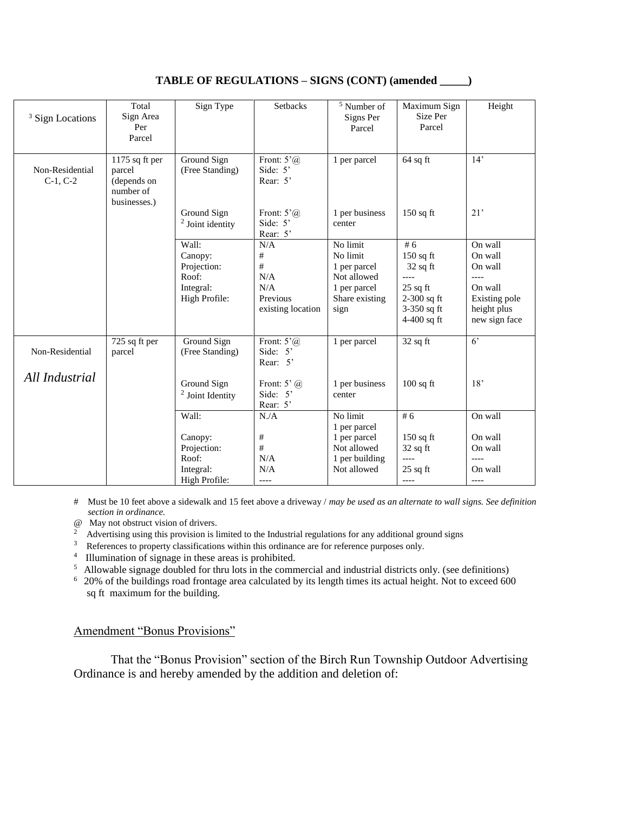| <b>Sign Locations</b>             | Total<br>Sign Area<br>Per<br>Parcel                                  | Sign Type                                                              | Setbacks                                                                             | <sup>5</sup> Number of<br>Signs Per<br>Parcel                                                 | Maximum Sign<br>Size Per<br>Parcel                                                                    | Height                                                                                             |
|-----------------------------------|----------------------------------------------------------------------|------------------------------------------------------------------------|--------------------------------------------------------------------------------------|-----------------------------------------------------------------------------------------------|-------------------------------------------------------------------------------------------------------|----------------------------------------------------------------------------------------------------|
| Non-Residential<br>$C-1, C-2$     | 1175 sq ft per<br>parcel<br>(depends on<br>number of<br>businesses.) | Ground Sign<br>(Free Standing)<br>Ground Sign<br>$2$ Joint identity    | Front: $5^{\circ}$ (a)<br>Side: 5'<br>Rear: 5'<br>Front: $5^{\circ}$ (a)<br>Side: 5' | 1 per parcel<br>1 per business<br>center                                                      | $64$ sq ft<br>$150$ sq ft                                                                             | 14'<br>21'                                                                                         |
|                                   |                                                                      | Wall:<br>Canopy:<br>Projection:<br>Roof:<br>Integral:<br>High Profile: | Rear: 5'<br>N/A<br>#<br>$\#$<br>N/A<br>N/A<br>Previous<br>existing location          | No limit<br>No limit<br>1 per parcel<br>Not allowed<br>1 per parcel<br>Share existing<br>sign | #6<br>$150$ sq ft<br>$32$ sq ft<br>$---$<br>$25$ sq ft<br>2-300 sq ft<br>3-350 sq ft<br>$4-400$ sq ft | On wall<br>On wall<br>On wall<br>$---$<br>On wall<br>Existing pole<br>height plus<br>new sign face |
| Non-Residential<br>All Industrial | 725 sq ft per<br>parcel                                              | Ground Sign<br>(Free Standing)                                         | Front: $5^{\circ}$ (a)<br>Side: 5'<br>Rear: 5'                                       | 1 per parcel                                                                                  | $32$ sq ft                                                                                            | 6 <sup>2</sup>                                                                                     |
|                                   |                                                                      | Ground Sign<br>$2$ Joint Identity                                      | Front: $5^{\circ}$ ( <i>a</i> )<br>Side: $5'$<br>Rear: 5'                            | 1 per business<br>center                                                                      | $100$ sq ft                                                                                           | 18'                                                                                                |
|                                   |                                                                      | Wall:<br>Canopy:<br>Projection:<br>Roof:<br>Integral:<br>High Profile: | N.A<br>$\#$<br>$\#$<br>N/A<br>N/A<br>----                                            | No limit<br>1 per parcel<br>1 per parcel<br>Not allowed<br>1 per building<br>Not allowed      | #6<br>$150$ sq ft<br>$32$ sq ft<br>$---$<br>$25$ sq ft<br>$---$                                       | On wall<br>On wall<br>On wall<br>----<br>On wall<br>----                                           |

## **TABLE OF REGULATIONS – SIGNS (CONT) (amended \_\_\_\_\_)**

# Must be 10 feet above a sidewalk and 15 feet above a driveway / *may be used as an alternate to wall signs. See definition section in ordinance.*

@ May not obstruct vision of drivers.

<sup>2</sup> Advertising using this provision is limited to the Industrial regulations for any additional ground signs

- <sup>3</sup> References to property classifications within this ordinance are for reference purposes only.
- <sup>4</sup> Illumination of signage in these areas is prohibited.

<sup>5</sup> Allowable signage doubled for thru lots in the commercial and industrial districts only. (see definitions)

<sup>6</sup>20% of the buildings road frontage area calculated by its length times its actual height. Not to exceed 600 sq ft maximum for the building.

#### Amendment "Bonus Provisions"

That the "Bonus Provision" section of the Birch Run Township Outdoor Advertising Ordinance is and hereby amended by the addition and deletion of: